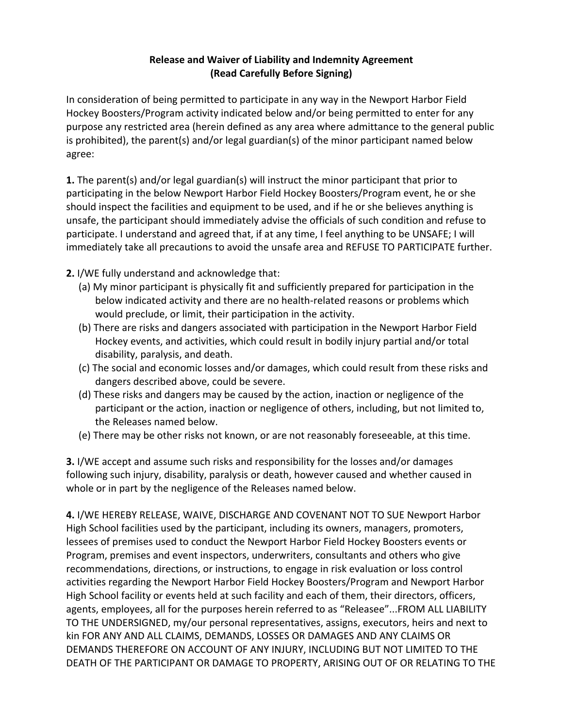## **Release and Waiver of Liability and Indemnity Agreement (Read Carefully Before Signing)**

In consideration of being permitted to participate in any way in the Newport Harbor Field Hockey Boosters/Program activity indicated below and/or being permitted to enter for any purpose any restricted area (herein defined as any area where admittance to the general public is prohibited), the parent(s) and/or legal guardian(s) of the minor participant named below agree: 

**1.** The parent(s) and/or legal guardian(s) will instruct the minor participant that prior to participating in the below Newport Harbor Field Hockey Boosters/Program event, he or she should inspect the facilities and equipment to be used, and if he or she believes anything is unsafe, the participant should immediately advise the officials of such condition and refuse to participate. I understand and agreed that, if at any time, I feel anything to be UNSAFE; I will immediately take all precautions to avoid the unsafe area and REFUSE TO PARTICIPATE further.

**2.** I/WE fully understand and acknowledge that:

- (a) My minor participant is physically fit and sufficiently prepared for participation in the below indicated activity and there are no health-related reasons or problems which would preclude, or limit, their participation in the activity.
- (b) There are risks and dangers associated with participation in the Newport Harbor Field Hockey events, and activities, which could result in bodily injury partial and/or total disability, paralysis, and death.
- (c) The social and economic losses and/or damages, which could result from these risks and dangers described above, could be severe.
- (d) These risks and dangers may be caused by the action, inaction or negligence of the participant or the action, inaction or negligence of others, including, but not limited to, the Releases named below.
- (e) There may be other risks not known, or are not reasonably foreseeable, at this time.

**3.** I/WE accept and assume such risks and responsibility for the losses and/or damages following such injury, disability, paralysis or death, however caused and whether caused in whole or in part by the negligence of the Releases named below.

4. I/WE HEREBY RELEASE, WAIVE, DISCHARGE AND COVENANT NOT TO SUE Newport Harbor High School facilities used by the participant, including its owners, managers, promoters, lessees of premises used to conduct the Newport Harbor Field Hockey Boosters events or Program, premises and event inspectors, underwriters, consultants and others who give recommendations, directions, or instructions, to engage in risk evaluation or loss control activities regarding the Newport Harbor Field Hockey Boosters/Program and Newport Harbor High School facility or events held at such facility and each of them, their directors, officers, agents, employees, all for the purposes herein referred to as "Releasee"...FROM ALL LIABILITY TO THE UNDERSIGNED, my/our personal representatives, assigns, executors, heirs and next to kin FOR ANY AND ALL CLAIMS, DEMANDS, LOSSES OR DAMAGES AND ANY CLAIMS OR DEMANDS THEREFORE ON ACCOUNT OF ANY INJURY, INCLUDING BUT NOT LIMITED TO THE DEATH OF THE PARTICIPANT OR DAMAGE TO PROPERTY, ARISING OUT OF OR RELATING TO THE